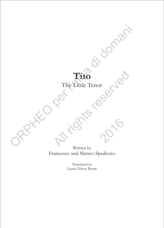## **Tito** The Little Tenor

Written by Francesco and Matteo Spedicato Tito di domani di domani Tito<br>The Little Tenor<br>Consumer the Little Tenor<br>Consumers of Consumer<br>Francesco and Matteo Spedicato Written by<br>Francesco and Matteo Spedicato<br>Translated by<br>Laura Clifton Byrne

Translated by Laura Clifton Byrne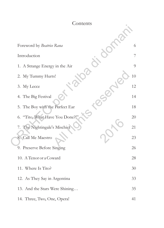| Contents                           |    |
|------------------------------------|----|
|                                    |    |
| Foreword by Beatrice Rana          | 6  |
| Introduction                       | 7  |
| 1. A Strange Energy in the Air     | 9  |
| 2. My Tummy Hurts!                 | 10 |
| 3. My Lecce                        | 12 |
| 4. The Big Festival                | 14 |
| 5. The Boy with the Perfect Ear    | 18 |
| "Tito, What Have You Done?!"<br>6. | 20 |
| 7. The Nightingale's Mischief      | 21 |
| 8. Call Me Maestro                 | 23 |
| 9. Preserve Before Singing         | 26 |
| 10. A Tenor or a Coward            | 28 |
| 11. Where Is Tito?                 | 30 |
| 12. As They Say in Argentina       | 33 |
| 13. And the Stars Were Shining     | 35 |
| 14. Three, Two, One, Opera!        | 41 |
|                                    |    |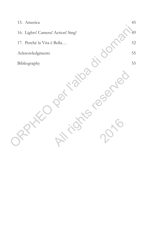| 15. America                       | 45     |
|-----------------------------------|--------|
| 16. Lights! Camera! Action! Sing! | 49     |
| 17. Perché la Vita è Bella        | $52\,$ |
| Acknowledgments                   | 55     |
| Bibliography                      | 55     |
|                                   |        |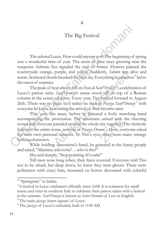## The Big Festival

4

Tito adored Lecce. How could anyone not? The beginning of spring was a wonderful time of year. The scent of pine trees growing near the turquoise Adriatic Sea signaled the end of winter. Flowers painted the countryside orange, purple, and yellow. Suddenly, *Salento* was alive and warm. Scattered clouds brushed the blue sky. Everything in *primavera*<sup>10</sup> led to the onset of summer. The Big Festival<br>
Tito adoted Lecce. How could anyone note The beginning of s<br>
was a wonderful time of year. The second of pince trees growing needs<br>
turquoise Adriatic Sea signaled the end of winter. Flowers paint<br>
count

<sup>11</sup> The peak of heat always fell on *Festa di Sant'Oronzo* , a celebration of Lecce's patron saint. *Sant'Oronzo*'s statue stood tall on top of a Roman column in the center of town. Every year, Tito looked forward to August 26th. There was no place he'd rather be than in *Piazza Sant'Oronzo*<sup>12</sup> with everyone he knew, welcoming the arrival of their favorite saint.

This year, like many before it, featured a lively marching band accompanying the procession. The musicians united with the cheering crowd and everyone paraded around the whole city together. Tito tirelessly followed the entire route, arriving at *Piazza Duomo*<sup>13</sup>. Here, everyone asked for their own personal miracles. To Tito's eyes, there were many strange looking characters. ountryside orange, purple, and yellow. Suddenly, *Salento* was ali<br>
zarm. Scattered clouds brushed the blue sky. Everything in *primarera*<br>
ne onset of summer.<br>
The peak of heat always fell on *Festa di Sant'Oronzo*<sup>1</sup>, a particular procession. The musicians united with the expone paraded around the whole city together. Then the exponentier route, arriving at *Piazza Duomo*<sup>13</sup>. Here, every personal miracles. To Tito's eyes, there were nect

While holding Antonietta's hand, he gestured at the funny people and asked, "Mamma, who is he? …who is she?"

She said sharply, "Stop pointing. It's rude!"

Tall men wore long robes, their faces covered. Everyone told Tito not to be afraid, but deep down, he knew they were ghosts. There were policemen with crazy hats, mounted on horses decorated with colorful

<sup>&</sup>lt;sup>10</sup> "Springtime" in Italian.

 $11$ <sup>11</sup>A festival in Lecce celebrated officially since 1658. It is common for small towns and cities in southern Italy to celebrate their patron saints with a festival in the summer. *Sant'Oronzo* is known as *Saint Orontius of Lecce* in English.

 $12$ <sup>12</sup>The main *piazza* (town square) of Lecce.

<sup>&</sup>lt;sup>13</sup>The *piazza* of Lecce's cathedral, built in 1144 AD.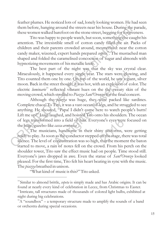feather plumes. He noticed lots of sad, lonely looking women. He had seen them before, hanging around the streets near his house. During the parade, these women walked barefoot on the stone street, begging for forgiveness.

Tito was happy to people watch, but soon, something else caught his attention. The irresistible smell of cotton candy filled the air. Packs of children and their parents crowded around, mesmerized: near the cotton candy maker, wizened, expert hands prepared *copeta*<sup>14</sup>. The mustached man shaped and folded the caramelised concoction of sugar and almonds with hypnotizing movements of his metallic knife.

The best part of the night was that the sky was crystal clear. Miraculously, it happened every single year. The stars were glowing, and Tito counted them one by one. On top of the world, he saw a giant, silver moon. Back in the street though, it was hot, with an explosion of color. The electric *luminarie*<sup>15</sup> reflected vibrant hues on the the sweaty skin of the moving crowd, which strolled to *Piazza Sant'Oronzo* for the final concert.

Although the *piazza* was huge, they were packed like sardines. Complete chaos! To Tito, it was a vast ocean of legs, and he struggled to see anything. He shouted, "Papa! I didn't come here to watch people's butts! Lift me up!" Luigi laughed, and hoisted Tito onto his shoulders. The ocean of legs transformed into a field of hair. Everyone's eyes were focused on <sup>16</sup> the huge, gazebo-like *cassa armonica* .

The musicians, handsome in their shiny uniforms, were getting ready to play. As soon as the conductor stepped on the stage, there was total silence. The level of concentration was so high, that the moment the baton started to move, a rain of notes fell on the crowd. From his perch on the shoulder tower, Tito saw the effect music had on people. Time stood still. Everyone's jaws dropped in awe. Even the statue of *Sant'Oronzo* looked pleased. For the first time, Tito felt his heart beating in sync with the music. The *piazza* breathed in unison. them before, hanging around the streets near his house. During the processure worren walked barefoot on the stone street, begging for foregiver Tho was happy to people wareh, but soon, something else can determined a meth diraculously, it happened every single year. The stars were glow<br>
ito counted them one by one. On top of the world, he saw a gian<br>
noon. Back in the street though, it was hot, with an explosion of col<br>
lectric *luminarie* formed into a field of hair. Everyone's eyes were<br>tho-like *cassa armonica*".<br>nusicians, handsome in their shiny uniforms,<br>As soon as the conductor stepped on the stage, the<br>vel of concentration was so high, that the mome<br>

"What kind of music is this?" Tito asked.

<sup>&</sup>lt;sup>14</sup>Similar to almond brittle, *copeta* is simply made and has Arabic origins. It can be found at nearly every kind of celebration in Lecce, from Christmas to Easter. <sup>15</sup>Intricate, tall structures made of thousands of colored light bulbs, exhibited at night during big celebrations.

 $^{16}$ A "soundbox" – a temporary structure made to amplify the sounds of a band or orchestra during special occasions.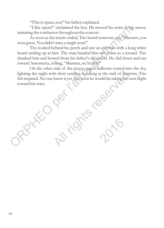"This is opera, son!" his father explained.

"I like opera!" exclaimed the boy. He moved his arms in big waves, imitating the conductor throughout the concert.

As soon as the music ended, Tito heard someone say, "Maestro, you were great. You didn't miss a single note!"

Tito looked behind his perch and saw an old man with a long white beard smiling up at him. The man handed him two coins as a reward. Tito thanked him and bowed from his father's shoulders. He slid down and ran toward Antonietta, yelling, "Mamma, we're rich!" "I like operal" exclained the boy. He moved his arms in big v<br>imitaing the conductor through out of concert.<br>As soon as the music ended, Tito heard someone say. "Maestre<br>were great. You didn't miss a single note!"<br>The look

On the other side of the *piazza*, paper balloons soared into the sky, lighting the night with their candles. Looking at the trail of lanterns, Tito felt inspired. No one knew it yet, but soon he would be taking his own flight toward the stars. ghting the night with their candles. Looking at the trail of lantern<br>elt inspired. No one knew it yet, but soon he would be taking his ow<br>oward the stars.

Ation 2016

16